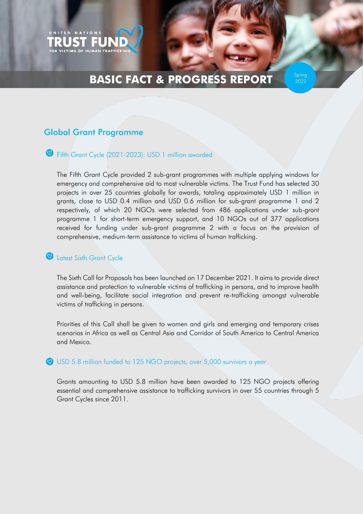

# **BASIC FACT & PROGRESS REPORT**

Spring 2022

### Global Grant Programme

### Fifth Grant Cycle (2021-2023): USD 1 million awarded

The Fifth Grant Cycle provided 2 sub-grant programmes with multiple applying windows for emergency and comprehensive aid to most vulnerable victims. The Trust Fund has selected 30 projects in over 25 countries globally for awards, totaling approximately USD 1 million in grants, close to USD 0.4 million and USD 0.6 million for sub-grant programme 1 and 2 respectively, of which 20 NGOs were selected from 486 applications under sub-grant programme 1 for short-term emergency support, and 10 NGOs out of 377 applications received for funding under sub-grant programme 2 with a focus on the provision of comprehensive, medium-term assistance to victims of human trafficking.

### Latest Sixth Grant Cycle

The Sixth Call for Proposals has been launched on 17 December 2021. It aims to provide direct assistance and protection to vulnerable victims of trafficking in persons, and to improve health and well-being, facilitate social integration and prevent re-trafficking amongst vulnerable victims of trafficking in persons.

Priorities of this Call shall be given to women and girls and emerging and temporary crises scenarios in Africa as well as Central Asia and Corridor of South America to Central America and Mexico.

USD 5.8 million funded to 125 NGO projects, over 5,000 survivors a year

Grants amounting to USD 5.8 million have been awarded to 125 NGO projects offering essential and comprehensive assistance to trafficking survivors in over 55 countries through 5 Grant Cycles since 2011.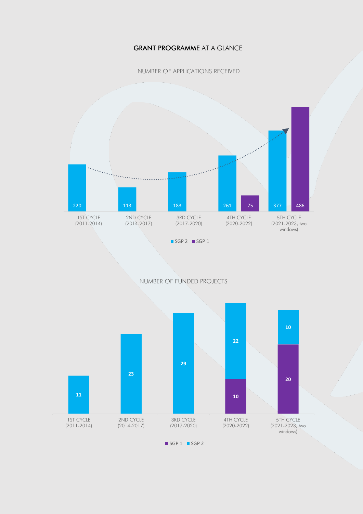### GRANT PROGRAMME AT A GLANCE

NUMBER OF APPLICATIONS RECEIVED



#### NUMBER OF FUNDED PROJECTS



SGP 1 SGP 2